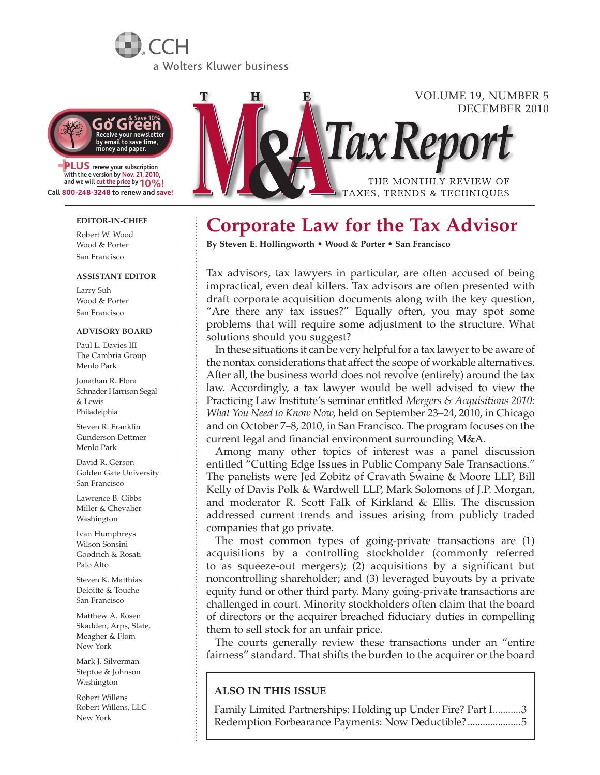# a Wolters Kluwer business



**PLUS** renew your subscription with the e version by Nov. 21, 2010, **and we will cut the price by 10%! Call 800-248-3248 to renew and save!**

### **EDITOR-IN-CHIEF**

Robert W. Wood Wood & Porter San Francisco

#### **Assistant Editor**

Larry Suh Wood & Porter San Francisco

### **Advisory Board**

Paul L. Davies III The Cambria Group Menlo Park

Jonathan R. Flora Schnader Harrison Segal & Lewis Philadelphia

Steven R. Franklin Gunderson Dettmer Menlo Park

David R. Gerson Golden Gate University San Francisco

Lawrence B. Gibbs Miller & Chevalier Washington

Ivan Humphreys Wilson Sonsini Goodrich & Rosati Palo Alto

Steven K. Matthias Deloitte & Touche San Francisco

Matthew A. Rosen Skadden, Arps, Slate, Meagher & Flom New York

Mark J. Silverman Steptoe & Johnson Washington

Robert Willens Robert Willens, LLC New York



# **Corporate Law for the Tax Advisor**

**By Steven E. Hollingworth • Wood & Porter • San Francisco**

Tax advisors, tax lawyers in particular, are often accused of being impractical, even deal killers. Tax advisors are often presented with draft corporate acquisition documents along with the key question, "Are there any tax issues?" Equally often, you may spot some problems that will require some adjustment to the structure. What solutions should you suggest?

In these situations it can be very helpful for a tax lawyer to be aware of the nontax considerations that affect the scope of workable alternatives. After all, the business world does not revolve (entirely) around the tax law. Accordingly, a tax lawyer would be well advised to view the Practicing Law Institute's seminar entitled *Mergers & Acquisitions 2010: What You Need to Know Now,* held on September 23–24, 2010, in Chicago and on October 7–8, 2010, in San Francisco. The program focuses on the current legal and financial environment surrounding M&A.

Among many other topics of interest was a panel discussion entitled "Cutting Edge Issues in Public Company Sale Transactions." The panelists were Jed Zobitz of Cravath Swaine & Moore LLP, Bill Kelly of Davis Polk & Wardwell LLP, Mark Solomons of J.P. Morgan, and moderator R. Scott Falk of Kirkland & Ellis. The discussion addressed current trends and issues arising from publicly traded companies that go private.

The most common types of going-private transactions are (1) acquisitions by a controlling stockholder (commonly referred to as squeeze-out mergers); (2) acquisitions by a significant but noncontrolling shareholder; and (3) leveraged buyouts by a private equity fund or other third party. Many going-private transactions are challenged in court. Minority stockholders often claim that the board of directors or the acquirer breached fiduciary duties in compelling them to sell stock for an unfair price.

The courts generally review these transactions under an "entire fairness" standard. That shifts the burden to the acquirer or the board

### **ALSO IN THIS ISSUE**

Family Limited Partnerships: Holding up Under Fire? Part I...........3 Redemption Forbearance Payments: Now Deductible?.....................5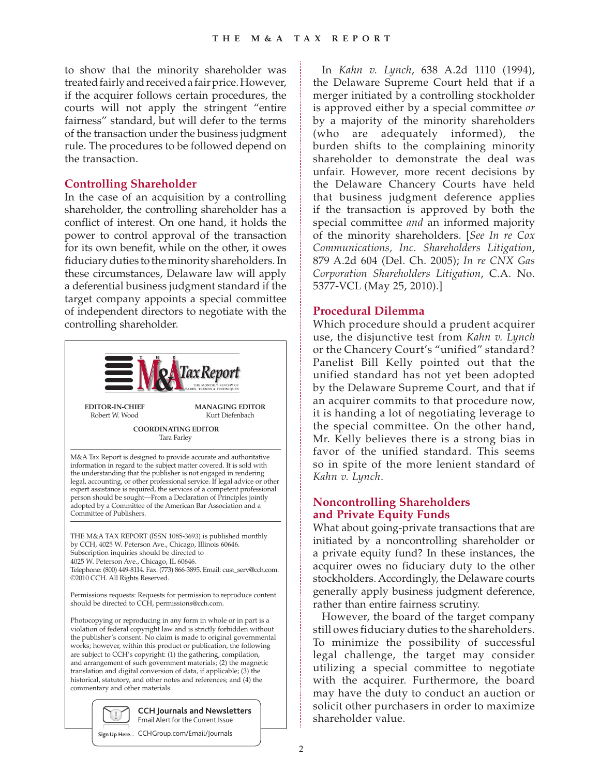to show that the minority shareholder was treated fairly and received a fair price. However, if the acquirer follows certain procedures, the courts will not apply the stringent "entire fairness" standard, but will defer to the terms of the transaction under the business judgment rule. The procedures to be followed depend on the transaction.

## **Controlling Shareholder**

In the case of an acquisition by a controlling shareholder, the controlling shareholder has a conflict of interest. On one hand, it holds the power to control approval of the transaction for its own benefit, while on the other, it owes fiduciary duties to the minority shareholders. In these circumstances, Delaware law will apply a deferential business judgment standard if the target company appoints a special committee of independent directors to negotiate with the controlling shareholder.



In *Kahn v. Lynch*, 638 A.2d 1110 (1994), the Delaware Supreme Court held that if a merger initiated by a controlling stockholder is approved either by a special committee *or* by a majority of the minority shareholders (who are adequately informed), the burden shifts to the complaining minority shareholder to demonstrate the deal was unfair. However, more recent decisions by the Delaware Chancery Courts have held that business judgment deference applies if the transaction is approved by both the special committee *and* an informed majority of the minority shareholders. [*See In re Cox Communications, Inc. Shareholders Litigation*, 879 A.2d 604 (Del. Ch. 2005); *In re CNX Gas Corporation Shareholders Litigation*, C.A. No. 5377-VCL (May 25, 2010).]

### **Procedural Dilemma**

Which procedure should a prudent acquirer use, the disjunctive test from *Kahn v. Lynch*  or the Chancery Court's "unified" standard? Panelist Bill Kelly pointed out that the unified standard has not yet been adopted by the Delaware Supreme Court, and that if an acquirer commits to that procedure now, it is handing a lot of negotiating leverage to the special committee. On the other hand, Mr. Kelly believes there is a strong bias in favor of the unified standard. This seems so in spite of the more lenient standard of *Kahn v. Lynch*.

# **Noncontrolling Shareholders and Private Equity Funds**

What about going-private transactions that are initiated by a noncontrolling shareholder or a private equity fund? In these instances, the acquirer owes no fiduciary duty to the other stockholders. Accordingly, the Delaware courts generally apply business judgment deference, rather than entire fairness scrutiny.

However, the board of the target company still owes fiduciary duties to the shareholders. To minimize the possibility of successful legal challenge, the target may consider utilizing a special committee to negotiate with the acquirer. Furthermore, the board may have the duty to conduct an auction or solicit other purchasers in order to maximize shareholder value.

**Sign Up Here...** CCHGroup.com/Email/Journals